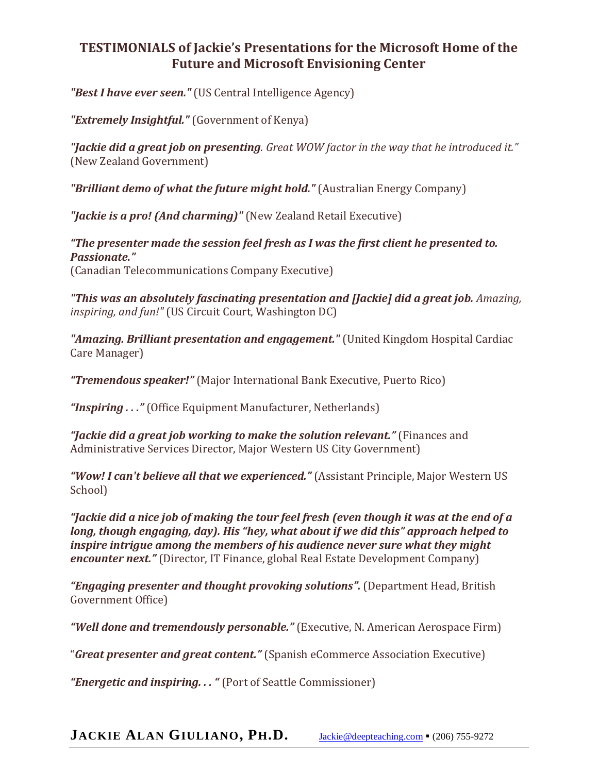## **TESTIMONIALS of Jackie's Presentations for the Microsoft Home of the Future and Microsoft Envisioning Center**

*"Best I have ever seen."* (US Central Intelligence Agency)

*"Extremely Insightful."* (Government of Kenya)

*"Jackie did a great job on presenting. Great WOW factor in the way that he introduced it."* (New Zealand Government)

*"Brilliant demo of what the future might hold."* (Australian Energy Company)

*"Jackie is a pro! (And charming)"* (New Zealand Retail Executive)

*"The presenter made the session feel fresh as I was the first client he presented to. Passionate."* (Canadian Telecommunications Company Executive)

*"This was an absolutely fascinating presentation and [Jackie] did a great job. Amazing, inspiring, and fun!"* (US Circuit Court, Washington DC)

*"Amazing. Brilliant presentation and engagement."* (United Kingdom Hospital Cardiac Care Manager)

*"Tremendous speaker!"* (Major International Bank Executive, Puerto Rico)

*"Inspiring . . ."* (Office Equipment Manufacturer, Netherlands)

*"Jackie did a great job working to make the solution relevant."* (Finances and Administrative Services Director, Major Western US City Government)

*"Wow! I can't believe all that we experienced."* (Assistant Principle, Major Western US School)

*"Jackie did a nice job of making the tour feel fresh (even though it was at the end of a long, though engaging, day). His "hey, what about if we did this" approach helped to inspire intrigue among the members of his audience never sure what they might encounter next."* (Director, IT Finance, global Real Estate Development Company)

*"Engaging presenter and thought provoking solutions".* (Department Head, British Government Office)

*"Well done and tremendously personable."* (Executive, N. American Aerospace Firm)

"*Great presenter and great content."* (Spanish eCommerce Association Executive)

*"Energetic and inspiring. . . "* (Port of Seattle Commissioner)